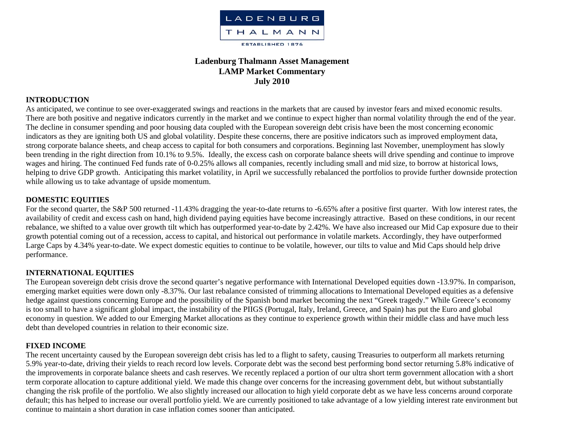

# **Ladenburg Thalmann Asset Management LAMP Market Commentary July 2010**

## **INTRODUCTION**

As anticipated, we continue to see over-exaggerated swings and reactions in the markets that are caused by investor fears and mixed economic results. There are both positive and negative indicators currently in the market and we continue to expect higher than normal volatility through the end of the year. The decline in consumer spending and poor housing data coupled with the European sovereign debt crisis have been the most concerning economic indicators as they are igniting both US and global volatility. Despite these concerns, there are positive indicators such as improved employment data, strong corporate balance sheets, and cheap access to capital for both consumers and corporations. Beginning last November, unemployment has slowly been trending in the right direction from 10.1% to 9.5%. Ideally, the excess cash on corporate balance sheets will drive spending and continue to improve wages and hiring. The continued Fed funds rate of 0-0.25% allows all companies, recently including small and mid size, to borrow at historical lows, helping to drive GDP growth. Anticipating this market volatility, in April we successfully rebalanced the portfolios to provide further downside protection while allowing us to take advantage of upside momentum.

## **DOMESTIC EQUITIES**

For the second quarter, the S&P 500 returned -11.43% dragging the year-to-date returns to -6.65% after a positive first quarter. With low interest rates, the availability of credit and excess cash on hand, high dividend paying equities have become increasingly attractive. Based on these conditions, in our recent rebalance, we shifted to a value over growth tilt which has outperformed year-to-date by 2.42%. We have also increased our Mid Cap exposure due to their growth potential coming out of a recession, access to capital, and historical out performance in volatile markets. Accordingly, they have outperformed Large Caps by 4.34% year-to-date. We expect domestic equities to continue to be volatile, however, our tilts to value and Mid Caps should help drive performance.

### **INTERNATIONAL EQUITIES**

The European sovereign debt crisis drove the second quarter's negative performance with International Developed equities down -13.97%. In comparison, emerging market equities were down only -8.37%. Our last rebalance consisted of trimming allocations to International Developed equities as a defensive hedge against questions concerning Europe and the possibility of the Spanish bond market becoming the next "Greek tragedy." While Greece's economy is too small to have a significant global impact, the instability of the PIIGS (Portugal, Italy, Ireland, Greece, and Spain) has put the Euro and global economy in question. We added to our Emerging Market allocations as they continue to experience growth within their middle class and have much less debt than developed countries in relation to their economic size.

### **FIXED INCOME**

The recent uncertainty caused by the European sovereign debt crisis has led to a flight to safety, causing Treasuries to outperform all markets returning 5.9% year-to-date, driving their yields to reach record low levels. Corporate debt was the second best performing bond sector returning 5.8% indicative of the improvements in corporate balance sheets and cash reserves. We recently replaced a portion of our ultra short term government allocation with a short term corporate allocation to capture additional yield. We made this change over concerns for the increasing government debt, but without substantially changing the risk profile of the portfolio. We also slightly increased our allocation to high yield corporate debt as we have less concerns around corporate default; this has helped to increase our overall portfolio yield. We are currently positioned to take advantage of a low yielding interest rate environment but continue to maintain a short duration in case inflation comes sooner than anticipated.